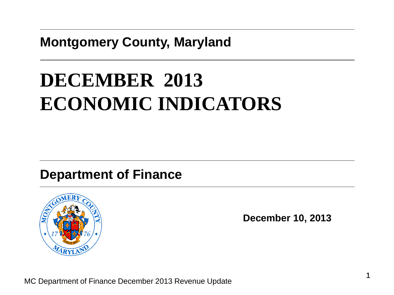## **Montgomery County, Maryland**

# **DECEMBER 2013 ECONOMIC INDICATORS**

## **Department of Finance**



**December 10, 2013**

MC Department of Finance December 2013 Revenue Update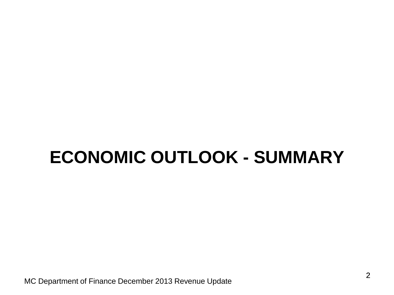# **ECONOMIC OUTLOOK - SUMMARY**

MC Department of Finance December 2013 Revenue Update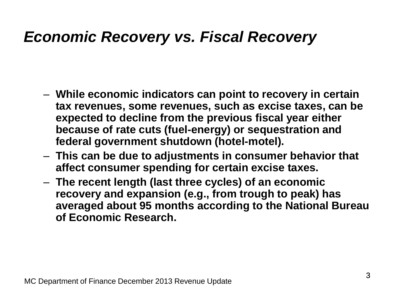## *Economic Recovery vs. Fiscal Recovery*

- **While economic indicators can point to recovery in certain tax revenues, some revenues, such as excise taxes, can be expected to decline from the previous fiscal year either because of rate cuts (fuel-energy) or sequestration and federal government shutdown (hotel-motel).**
- **This can be due to adjustments in consumer behavior that affect consumer spending for certain excise taxes.**
- **The recent length (last three cycles) of an economic recovery and expansion (e.g., from trough to peak) has averaged about 95 months according to the National Bureau of Economic Research.**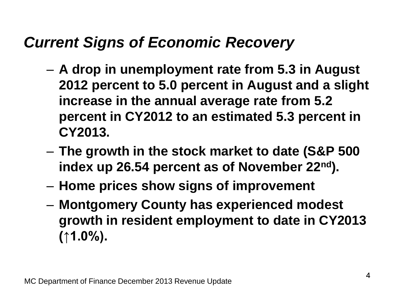# *Current Signs of Economic Recovery*

- **A drop in unemployment rate from 5.3 in August 2012 percent to 5.0 percent in August and a slight increase in the annual average rate from 5.2 percent in CY2012 to an estimated 5.3 percent in CY2013.**
- **The growth in the stock market to date (S&P 500 index up 26.54 percent as of November 22nd).**
- **Home prices show signs of improvement**
- **Montgomery County has experienced modest growth in resident employment to date in CY2013 (↑1.0%).**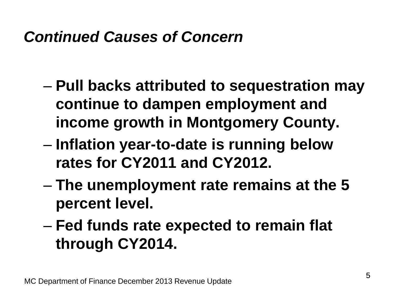# *Continued Causes of Concern*

- **Pull backs attributed to sequestration may continue to dampen employment and income growth in Montgomery County.**
- **Inflation year-to-date is running below rates for CY2011 and CY2012.**
- **The unemployment rate remains at the 5 percent level.**
- **Fed funds rate expected to remain flat through CY2014.**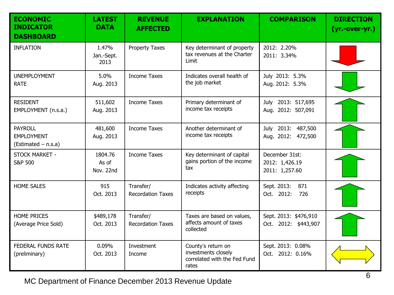| <b>ECONOMIC</b><br><b>INDICATOR</b><br><b>DASHBOARD</b>    | <b>LATEST</b><br><b>DATA</b>  | <b>REVENUE</b><br><b>AFFECTED</b>     | <b>EXPLANATION</b>                                                                 | <b>COMPARISON</b>                                  | <b>DIRECTION</b><br>$(yr.-over-yr.)$ |
|------------------------------------------------------------|-------------------------------|---------------------------------------|------------------------------------------------------------------------------------|----------------------------------------------------|--------------------------------------|
| <b>INFLATION</b>                                           | 1.47%<br>Jan.-Sept.<br>2013   | <b>Property Taxes</b>                 | Key determinant of property<br>tax revenues at the Charter<br>Limit                | 2012: 2.20%<br>2011: 3.34%                         |                                      |
| <b>UNEMPLOYMENT</b><br><b>RATE</b>                         | 5.0%<br>Aug. 2013             | <b>Income Taxes</b>                   | Indicates overall health of<br>the job market                                      | July 2013: 5.3%<br>Aug. 2012: 5.3%                 |                                      |
| <b>RESIDENT</b><br>EMPLOYMENT (n.s.a.)                     | 511,602<br>Aug. 2013          | <b>Income Taxes</b>                   | Primary determinant of<br>income tax receipts                                      | July 2013: 517,695<br>Aug. 2012: 507,091           |                                      |
| <b>PAYROLL</b><br><b>EMPLOYMENT</b><br>(Estimated - n.s.a) | 481,600<br>Aug. 2013          | <b>Income Taxes</b>                   | Another determinant of<br>income tax receipts                                      | July 2013: 487,500<br>Aug. 2012: 472,500           |                                      |
| STOCK MARKET -<br><b>S&amp;P 500</b>                       | 1804.76<br>As of<br>Nov. 22nd | <b>Income Taxes</b>                   | Key determinant of capital<br>gains portion of the income<br>tax                   | December 31st:<br>2012: 1,426.19<br>2011: 1,257.60 |                                      |
| <b>HOME SALES</b>                                          | 915<br>Oct. 2013              | Transfer/<br><b>Recordation Taxes</b> | Indicates activity affecting<br>receipts                                           | Sept. 2013:<br>871<br>Oct. 2012:<br>726            |                                      |
| <b>HOME PRICES</b><br>(Average Price Sold)                 | \$489,178<br>Oct. 2013        | Transfer/<br><b>Recordation Taxes</b> | Taxes are based on values,<br>affects amount of taxes<br>collected                 | Sept. 2013: \$476,910<br>Oct. 2012: \$443,907      |                                      |
| FEDERAL FUNDS RATE<br>(preliminary)                        | 0.09%<br>Oct. 2013            | Investment<br>Income                  | County's return on<br>investments closely<br>correlated with the Fed Fund<br>rates | Sept. 2013: 0.08%<br>Oct. 2012: 0.16%              |                                      |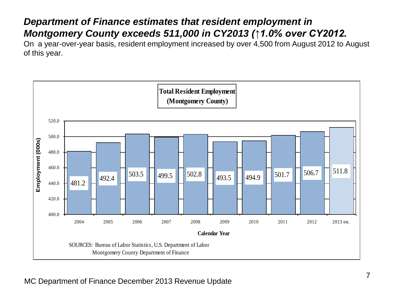#### *Department of Finance estimates that resident employment in Montgomery County exceeds 511,000 in CY2013 (↑1.0% over CY2012.*

On a year-over-year basis, resident employment increased by over 4,500 from August 2012 to August of this year.

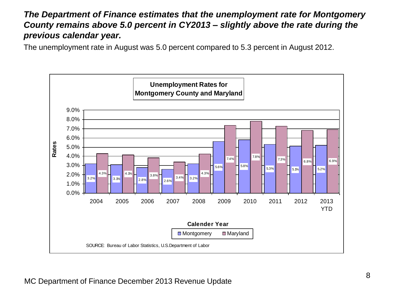#### *The Department of Finance estimates that the unemployment rate for Montgomery County remains above 5.0 percent in CY2013 – slightly above the rate during the previous calendar year.*

The unemployment rate in August was 5.0 percent compared to 5.3 percent in August 2012.

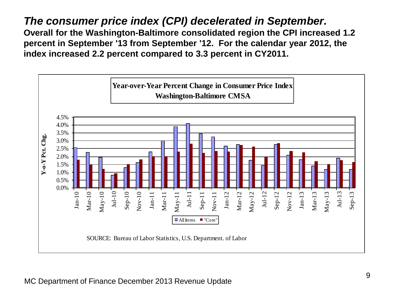*The consumer price index (CPI) decelerated in September.* **Overall for the Washington-Baltimore consolidated region the CPI increased 1.2 percent in September '13 from September '12. For the calendar year 2012, the index increased 2.2 percent compared to 3.3 percent in CY2011.**

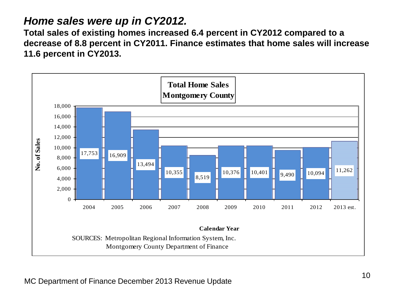### *Home sales were up in CY2012.*

**Total sales of existing homes increased 6.4 percent in CY2012 compared to a decrease of 8.8 percent in CY2011. Finance estimates that home sales will increase 11.6 percent in CY2013.**